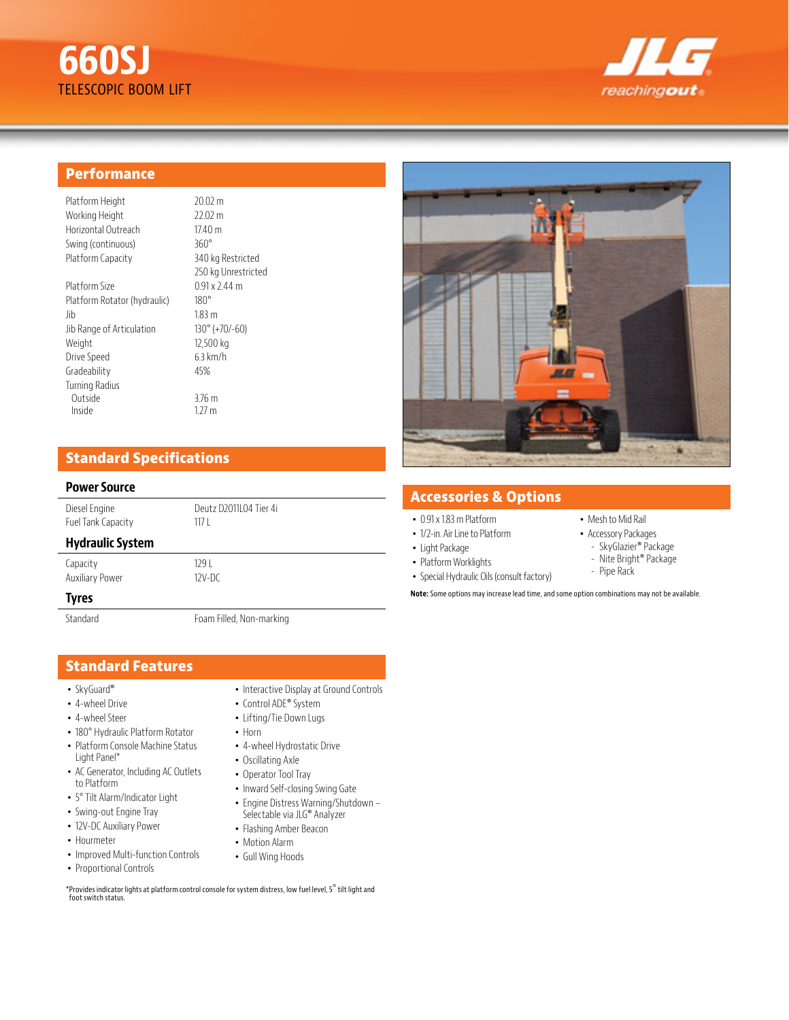



### **Performance**

| Platform Height     | 20.02       |
|---------------------|-------------|
| Working Height      | 22.02       |
| Horizontal Outreach | 17.40       |
| Swing (continuous)  | $360^\circ$ |
| Platform Capacity   | 340         |
|                     | 250 kg      |
| $D = L$             | ∩ ∩1.       |

Platform Size 0.91 x 2.44 m Platform Rotator (hydraulic) 180° Jib 1.83 m Jib Range of Articulation 130° (+70/-60) Weight 12,500 kg Drive Speed 6.3 km/h Gradeability 45% Turning Radius Outside 3.76 m Inside 1.27 m

 $20.02 m$  $22.02 m$  $17.40<sub>m</sub>$ 340 kg Restricted 250 kg Unrestricted

# **Standard Specifications**

#### **Power Source**

Diesel Engine Deutz D2011L04 Tier 4i Fuel Tank Capacity 117 L

### **Hydraulic System**

Capacity 129 L

# Auxiliary Power 12V-DC

**Tyres**

Standard Foam Filled, Non-marking

# **Standard Features**

- SkyGuard®
- 4-wheel Drive
- 4-wheel Steer
- 180° Hydraulic Platform Rotator
- Platform Console Machine Status Light Panel\*
- AC Generator, Including AC Outlets to Platform
- 5° Tilt Alarm/Indicator Light
- Swing-out Engine Tray
- 12V-DC Auxiliary Power
- Hourmeter
- Improved Multi-function Controls
- Proportional Controls
- Interactive Display at Ground Controls
- Control ADE® System
- Lifting/Tie Down Lugs
- Horn
- 4-wheel Hydrostatic Drive
- Oscillating Axle
- Operator Tool Tray
- Inward Self-closing Swing Gate
- Engine Distress Warning/Shutdown Selectable via JLG® Analyzer
- Flashing Amber Beacon
- Motion Alarm
- Gull Wing Hoods

\*Provides indicator lights at platform control console for system distress, low fuel level, 5° tilt light and foot switch status.



# **Accessories & Options**

- 0.91 x 1.83 m Platform
- 1/2-in. Air Line to Platform
- Light Package
- Platform Worklights
- Special Hydraulic Oils (consult factory)
- Mesh to Mid Rail • Accessory Packages
- SkyGlazier® Package
- Nite Bright® Package
- Pipe Rack

**Note:** Some options may increase lead time, and some option combinations may not be available.